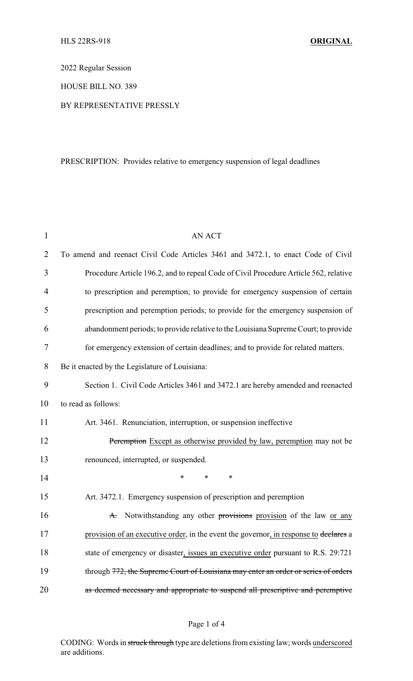2022 Regular Session

HOUSE BILL NO. 389

### BY REPRESENTATIVE PRESSLY

# PRESCRIPTION: Provides relative to emergency suspension of legal deadlines

| $\mathbf{1}$   | <b>AN ACT</b>                                                                         |
|----------------|---------------------------------------------------------------------------------------|
| 2              | To amend and reenact Civil Code Articles 3461 and 3472.1, to enact Code of Civil      |
| 3              | Procedure Article 196.2, and to repeal Code of Civil Procedure Article 562, relative  |
| $\overline{4}$ | to prescription and peremption; to provide for emergency suspension of certain        |
| 5              | prescription and peremption periods; to provide for the emergency suspension of       |
| 6              | abandonment periods; to provide relative to the Louisiana Supreme Court; to provide   |
| $\tau$         | for emergency extension of certain deadlines; and to provide for related matters.     |
| 8              | Be it enacted by the Legislature of Louisiana:                                        |
| 9              | Section 1. Civil Code Articles 3461 and 3472.1 are hereby amended and reenacted       |
| 10             | to read as follows:                                                                   |
| 11             | Art. 3461. Renunciation, interruption, or suspension ineffective                      |
| 12             | Peremption Except as otherwise provided by law, peremption may not be                 |
| 13             | renounced, interrupted, or suspended.                                                 |
| 14             | $\ast$<br>*<br>$\ast$                                                                 |
| 15             | Art. 3472.1. Emergency suspension of prescription and peremption                      |
| 16             | A. Notwithstanding any other provisions provision of the law or any                   |
| 17             | provision of an executive order, in the event the governor, in response to declares a |
| 18             | state of emergency or disaster, issues an executive order pursuant to R.S. 29:721     |
| 19             | through 772, the Supreme Court of Louisiana may enter an order or series of orders    |
| 20             | as deemed necessary and appropriate to suspend all prescriptive and peremptive        |

### Page 1 of 4

CODING: Words in struck through type are deletions from existing law; words underscored are additions.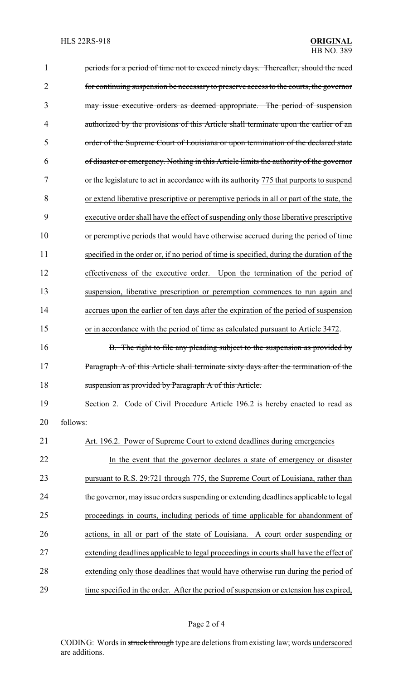| $\mathbf{1}$   | periods for a period of time not to exceed ninety days. Thereafter, should the need      |  |  |
|----------------|------------------------------------------------------------------------------------------|--|--|
| $\overline{2}$ | for continuing suspension be necessary to preserve access to the courts, the governor    |  |  |
| 3              | may issue executive orders as deemed appropriate. The period of suspension               |  |  |
| 4              | authorized by the provisions of this Article shall terminate upon the earlier of an      |  |  |
| 5              | order of the Supreme Court of Louisiana or upon termination of the declared state        |  |  |
| 6              | of disaster or emergency. Nothing in this Article limits the authority of the governor   |  |  |
| 7              | or the legislature to act in accordance with its authority 775 that purports to suspend  |  |  |
| 8              | or extend liberative prescriptive or peremptive periods in all or part of the state, the |  |  |
| 9              | executive order shall have the effect of suspending only those liberative prescriptive   |  |  |
| 10             | or peremptive periods that would have otherwise accrued during the period of time        |  |  |
| 11             | specified in the order or, if no period of time is specified, during the duration of the |  |  |
| 12             | effectiveness of the executive order. Upon the termination of the period of              |  |  |
| 13             | suspension, liberative prescription or peremption commences to run again and             |  |  |
| 14             | accrues upon the earlier of ten days after the expiration of the period of suspension    |  |  |
| 15             | or in accordance with the period of time as calculated pursuant to Article 3472.         |  |  |
| 16             | B. The right to file any pleading subject to the suspension as provided by               |  |  |
| 17             | Paragraph A of this Article shall terminate sixty days after the termination of the      |  |  |
| 18             | suspension as provided by Paragraph A of this Article.                                   |  |  |
| 19             | Section 2. Code of Civil Procedure Article 196.2 is hereby enacted to read as            |  |  |
| 20             | follows:                                                                                 |  |  |
| 21             | Art. 196.2. Power of Supreme Court to extend deadlines during emergencies                |  |  |
| 22             | In the event that the governor declares a state of emergency or disaster                 |  |  |
| 23             | pursuant to R.S. 29:721 through 775, the Supreme Court of Louisiana, rather than         |  |  |
| 24             | the governor, may issue orders suspending or extending deadlines applicable to legal     |  |  |
| 25             | proceedings in courts, including periods of time applicable for abandonment of           |  |  |
| 26             | actions, in all or part of the state of Louisiana. A court order suspending or           |  |  |
| 27             | extending deadlines applicable to legal proceedings in courts shall have the effect of   |  |  |
| 28             | extending only those deadlines that would have otherwise run during the period of        |  |  |
| 29             | time specified in the order. After the period of suspension or extension has expired,    |  |  |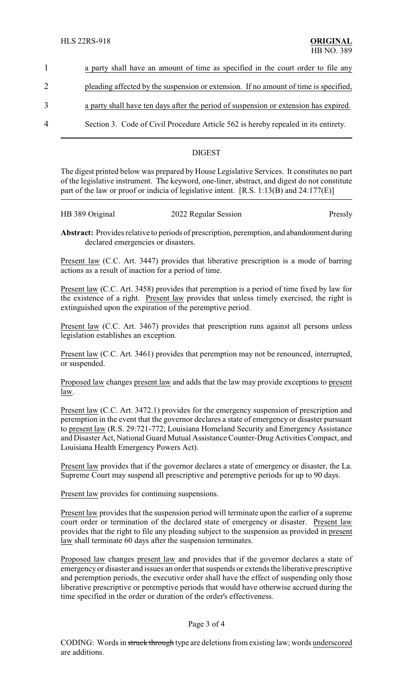- 1 a party shall have an amount of time as specified in the court order to file any
- 2 pleading affected by the suspension or extension. If no amount of time is specified,
- 3 a party shall have ten days after the period of suspension or extension has expired.
- 4 Section 3. Code of Civil Procedure Article 562 is hereby repealed in its entirety.

## DIGEST

The digest printed below was prepared by House Legislative Services. It constitutes no part of the legislative instrument. The keyword, one-liner, abstract, and digest do not constitute part of the law or proof or indicia of legislative intent. [R.S. 1:13(B) and 24:177(E)]

| HB 389 Original | 2022 Regular Session | Pressly |
|-----------------|----------------------|---------|
|                 |                      |         |

**Abstract:** Provides relative to periods of prescription, peremption, and abandonment during declared emergencies or disasters.

Present law (C.C. Art. 3447) provides that liberative prescription is a mode of barring actions as a result of inaction for a period of time.

Present law (C.C. Art. 3458) provides that peremption is a period of time fixed by law for the existence of a right. Present law provides that unless timely exercised, the right is extinguished upon the expiration of the peremptive period.

Present law (C.C. Art. 3467) provides that prescription runs against all persons unless legislation establishes an exception.

Present law (C.C. Art. 3461) provides that peremption may not be renounced, interrupted, or suspended.

Proposed law changes present law and adds that the law may provide exceptions to present law.

Present law (C.C. Art. 3472.1) provides for the emergency suspension of prescription and peremption in the event that the governor declares a state of emergency or disaster pursuant to present law (R.S. 29:721-772; Louisiana Homeland Security and Emergency Assistance and Disaster Act, National Guard Mutual Assistance Counter-Drug Activities Compact, and Louisiana Health Emergency Powers Act).

Present law provides that if the governor declares a state of emergency or disaster, the La. Supreme Court may suspend all prescriptive and peremptive periods for up to 90 days.

Present law provides for continuing suspensions.

Present law provides that the suspension period will terminate upon the earlier of a supreme court order or termination of the declared state of emergency or disaster. Present law provides that the right to file any pleading subject to the suspension as provided in present law shall terminate 60 days after the suspension terminates.

Proposed law changes present law and provides that if the governor declares a state of emergency or disaster and issues an order that suspends or extends the liberative prescriptive and peremption periods, the executive order shall have the effect of suspending only those liberative prescriptive or peremptive periods that would have otherwise accrued during the time specified in the order or duration of the order's effectiveness.

### Page 3 of 4